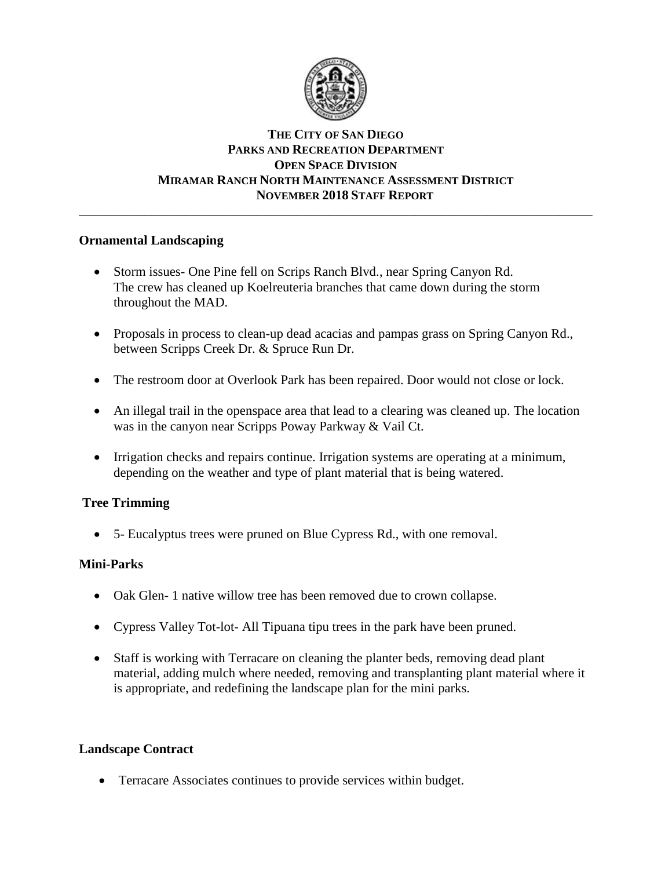

# **THE CITY OF SAN DIEGO PARKS AND RECREATION DEPARTMENT OPEN SPACE DIVISION MIRAMAR RANCH NORTH MAINTENANCE ASSESSMENT DISTRICT NOVEMBER 2018 STAFF REPORT**

\_\_\_\_\_\_\_\_\_\_\_\_\_\_\_\_\_\_\_\_\_\_\_\_\_\_\_\_\_\_\_\_\_\_\_\_\_\_\_\_\_\_\_\_\_\_\_\_\_\_\_\_\_\_\_\_\_\_\_\_\_\_\_\_\_\_\_\_\_\_\_\_\_\_\_\_\_\_

# **Ornamental Landscaping**

- Storm issues- One Pine fell on Scrips Ranch Blvd., near Spring Canyon Rd. The crew has cleaned up Koelreuteria branches that came down during the storm throughout the MAD.
- Proposals in process to clean-up dead acacias and pampas grass on Spring Canyon Rd., between Scripps Creek Dr. & Spruce Run Dr.
- The restroom door at Overlook Park has been repaired. Door would not close or lock.
- An illegal trail in the openspace area that lead to a clearing was cleaned up. The location was in the canyon near Scripps Poway Parkway & Vail Ct.
- Irrigation checks and repairs continue. Irrigation systems are operating at a minimum, depending on the weather and type of plant material that is being watered.

# **Tree Trimming**

• 5- Eucalyptus trees were pruned on Blue Cypress Rd., with one removal.

#### **Mini-Parks**

- Oak Glen- 1 native willow tree has been removed due to crown collapse.
- Cypress Valley Tot-lot- All Tipuana tipu trees in the park have been pruned.
- Staff is working with Terracare on cleaning the planter beds, removing dead plant material, adding mulch where needed, removing and transplanting plant material where it is appropriate, and redefining the landscape plan for the mini parks.

#### **Landscape Contract**

• Terracare Associates continues to provide services within budget.